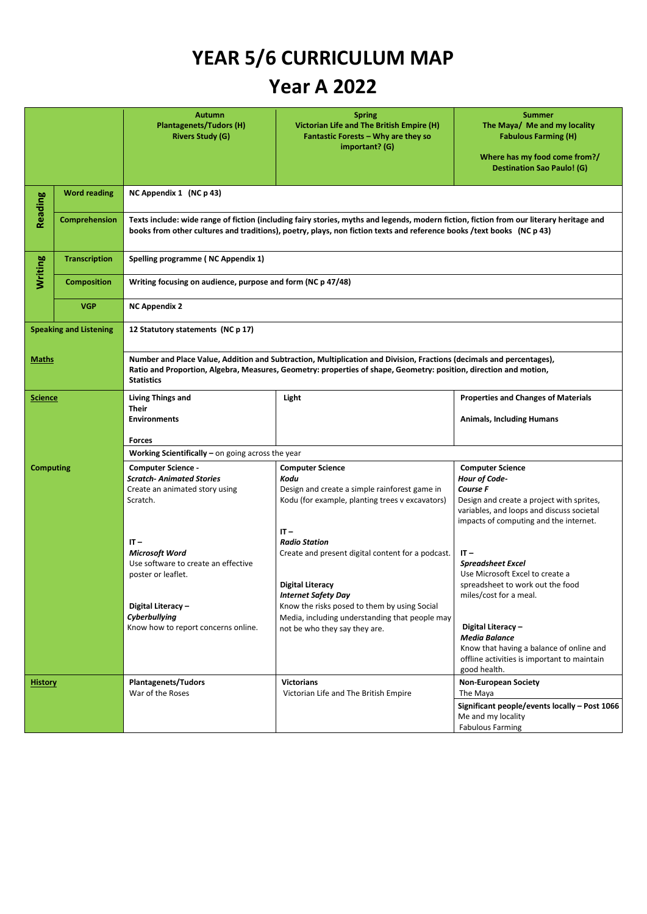## **YEAR 5/6 CURRICULUM MAP**

## **Year A 2022**

|                               |                      | Autumn<br><b>Plantagenets/Tudors (H)</b><br><b>Rivers Study (G)</b>                                                                                                                                                                                               | <b>Spring</b><br>Victorian Life and The British Empire (H)<br>Fantastic Forests - Why are they so<br>important? (G) | <b>Summer</b><br>The Maya/ Me and my locality<br><b>Fabulous Farming (H)</b><br>Where has my food come from?/<br><b>Destination Sao Paulo! (G)</b>            |  |  |
|-------------------------------|----------------------|-------------------------------------------------------------------------------------------------------------------------------------------------------------------------------------------------------------------------------------------------------------------|---------------------------------------------------------------------------------------------------------------------|---------------------------------------------------------------------------------------------------------------------------------------------------------------|--|--|
| Reading                       | <b>Word reading</b>  | NC Appendix 1 (NC p 43)                                                                                                                                                                                                                                           |                                                                                                                     |                                                                                                                                                               |  |  |
|                               | Comprehension        | Texts include: wide range of fiction (including fairy stories, myths and legends, modern fiction, fiction from our literary heritage and<br>books from other cultures and traditions), poetry, plays, non fiction texts and reference books /text books (NC p 43) |                                                                                                                     |                                                                                                                                                               |  |  |
| <b>Writing</b>                | <b>Transcription</b> | Spelling programme (NC Appendix 1)                                                                                                                                                                                                                                |                                                                                                                     |                                                                                                                                                               |  |  |
|                               | <b>Composition</b>   | Writing focusing on audience, purpose and form (NC p 47/48)                                                                                                                                                                                                       |                                                                                                                     |                                                                                                                                                               |  |  |
|                               | <b>VGP</b>           | <b>NC Appendix 2</b>                                                                                                                                                                                                                                              |                                                                                                                     |                                                                                                                                                               |  |  |
| <b>Speaking and Listening</b> |                      | 12 Statutory statements (NC p 17)                                                                                                                                                                                                                                 |                                                                                                                     |                                                                                                                                                               |  |  |
| <b>Maths</b>                  |                      | Number and Place Value, Addition and Subtraction, Multiplication and Division, Fractions (decimals and percentages),<br>Ratio and Proportion, Algebra, Measures, Geometry: properties of shape, Geometry: position, direction and motion,<br><b>Statistics</b>    |                                                                                                                     |                                                                                                                                                               |  |  |
| <b>Science</b>                |                      | <b>Living Things and</b><br><b>Their</b>                                                                                                                                                                                                                          | Light                                                                                                               | <b>Properties and Changes of Materials</b>                                                                                                                    |  |  |
|                               |                      | <b>Environments</b>                                                                                                                                                                                                                                               |                                                                                                                     | <b>Animals, Including Humans</b>                                                                                                                              |  |  |
|                               |                      | <b>Forces</b>                                                                                                                                                                                                                                                     |                                                                                                                     |                                                                                                                                                               |  |  |
|                               |                      | <b>Working Scientifically</b> – on going across the year<br><b>Computer Science</b><br><b>Computer Science -</b><br><b>Computer Science</b>                                                                                                                       |                                                                                                                     |                                                                                                                                                               |  |  |
| <b>Computing</b>              |                      | <b>Scratch-Animated Stories</b><br>Create an animated story using<br>Scratch.                                                                                                                                                                                     | Kodu<br>Design and create a simple rainforest game in<br>Kodu (for example, planting trees v excavators)            | Hour of Code-<br>Course F<br>Design and create a project with sprites,<br>variables, and loops and discuss societal<br>impacts of computing and the internet. |  |  |
|                               |                      |                                                                                                                                                                                                                                                                   | $IT -$                                                                                                              |                                                                                                                                                               |  |  |
|                               |                      | $IT -$<br><b>Microsoft Word</b>                                                                                                                                                                                                                                   | <b>Radio Station</b><br>Create and present digital content for a podcast.                                           | $IT -$                                                                                                                                                        |  |  |
|                               |                      | Use software to create an effective<br>poster or leaflet.                                                                                                                                                                                                         |                                                                                                                     | <b>Spreadsheet Excel</b><br>Use Microsoft Excel to create a                                                                                                   |  |  |
|                               |                      |                                                                                                                                                                                                                                                                   | Digital Literacy                                                                                                    | spreadsheet to work out the food                                                                                                                              |  |  |
|                               |                      | Digital Literacy -<br>Cyberbullying<br>Know how to report concerns online.                                                                                                                                                                                        | Internet Safety Day<br>Know the risks posed to them by using Social                                                 | miles/cost for a meal.                                                                                                                                        |  |  |
|                               |                      |                                                                                                                                                                                                                                                                   | Media, including understanding that people may<br>not be who they say they are.                                     | Digital Literacy -                                                                                                                                            |  |  |
|                               |                      |                                                                                                                                                                                                                                                                   |                                                                                                                     | <b>Media Balance</b><br>Know that having a balance of online and<br>offline activities is important to maintain<br>good health.                               |  |  |
| <b>History</b>                |                      | <b>Plantagenets/Tudors</b><br>War of the Roses                                                                                                                                                                                                                    | <b>Victorians</b><br>Victorian Life and The British Empire                                                          | <b>Non-European Society</b><br>The Maya                                                                                                                       |  |  |
|                               |                      |                                                                                                                                                                                                                                                                   |                                                                                                                     | Significant people/events locally - Post 1066<br>Me and my locality<br><b>Fabulous Farming</b>                                                                |  |  |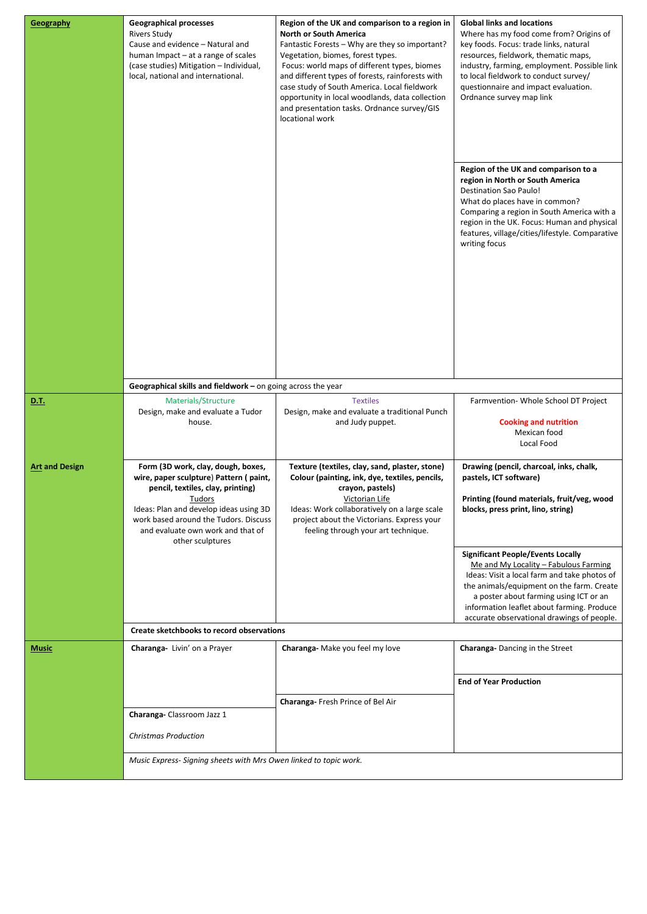| Geography             | <b>Geographical processes</b><br><b>Rivers Study</b><br>Cause and evidence - Natural and<br>human Impact – at a range of scales<br>(case studies) Mitigation - Individual,<br>local, national and international.                                                        | Region of the UK and comparison to a region in<br><b>North or South America</b><br>Fantastic Forests - Why are they so important?<br>Vegetation, biomes, forest types.<br>Focus: world maps of different types, biomes<br>and different types of forests, rainforests with<br>case study of South America. Local fieldwork<br>opportunity in local woodlands, data collection<br>and presentation tasks. Ordnance survey/GIS<br>locational work | <b>Global links and locations</b><br>Where has my food come from? Origins of<br>key foods. Focus: trade links, natural<br>resources, fieldwork, thematic maps,<br>industry, farming, employment. Possible link<br>to local fieldwork to conduct survey/<br>questionnaire and impact evaluation.<br>Ordnance survey map link<br>Region of the UK and comparison to a<br>region in North or South America<br><b>Destination Sao Paulo!</b><br>What do places have in common?<br>Comparing a region in South America with a<br>region in the UK. Focus: Human and physical<br>features, village/cities/lifestyle. Comparative<br>writing focus |  |  |
|-----------------------|-------------------------------------------------------------------------------------------------------------------------------------------------------------------------------------------------------------------------------------------------------------------------|-------------------------------------------------------------------------------------------------------------------------------------------------------------------------------------------------------------------------------------------------------------------------------------------------------------------------------------------------------------------------------------------------------------------------------------------------|---------------------------------------------------------------------------------------------------------------------------------------------------------------------------------------------------------------------------------------------------------------------------------------------------------------------------------------------------------------------------------------------------------------------------------------------------------------------------------------------------------------------------------------------------------------------------------------------------------------------------------------------|--|--|
|                       |                                                                                                                                                                                                                                                                         |                                                                                                                                                                                                                                                                                                                                                                                                                                                 |                                                                                                                                                                                                                                                                                                                                                                                                                                                                                                                                                                                                                                             |  |  |
| D.T.                  | Geographical skills and fieldwork - on going across the year<br>Materials/Structure<br>Design, make and evaluate a Tudor<br>house.                                                                                                                                      | <b>Textiles</b><br>Design, make and evaluate a traditional Punch<br>and Judy puppet.                                                                                                                                                                                                                                                                                                                                                            | Farmvention-Whole School DT Project<br><b>Cooking and nutrition</b><br>Mexican food<br>Local Food                                                                                                                                                                                                                                                                                                                                                                                                                                                                                                                                           |  |  |
| <b>Art and Design</b> | Form (3D work, clay, dough, boxes,<br>wire, paper sculpture) Pattern (paint,<br>pencil, textiles, clay, printing)<br>Tudors<br>Ideas: Plan and develop ideas using 3D<br>work based around the Tudors. Discuss<br>and evaluate own work and that of<br>other sculptures | Texture (textiles, clay, sand, plaster, stone)<br>Colour (painting, ink, dye, textiles, pencils,<br>crayon, pastels)<br>Victorian Life<br>Ideas: Work collaboratively on a large scale<br>project about the Victorians. Express your<br>feeling through your art technique.                                                                                                                                                                     | Drawing (pencil, charcoal, inks, chalk,<br>pastels, ICT software)<br>Printing (found materials, fruit/veg, wood<br>blocks, press print, lino, string)                                                                                                                                                                                                                                                                                                                                                                                                                                                                                       |  |  |
|                       |                                                                                                                                                                                                                                                                         |                                                                                                                                                                                                                                                                                                                                                                                                                                                 | <b>Significant People/Events Locally</b><br>Me and My Locality - Fabulous Farming<br>Ideas: Visit a local farm and take photos of<br>the animals/equipment on the farm. Create<br>a poster about farming using ICT or an<br>information leaflet about farming. Produce<br>accurate observational drawings of people.                                                                                                                                                                                                                                                                                                                        |  |  |
|                       | Create sketchbooks to record observations                                                                                                                                                                                                                               |                                                                                                                                                                                                                                                                                                                                                                                                                                                 |                                                                                                                                                                                                                                                                                                                                                                                                                                                                                                                                                                                                                                             |  |  |
| Music                 | Charanga-Livin' on a Prayer                                                                                                                                                                                                                                             | Charanga-Make you feel my love                                                                                                                                                                                                                                                                                                                                                                                                                  | <b>Charanga-Dancing in the Street</b><br><b>End of Year Production</b>                                                                                                                                                                                                                                                                                                                                                                                                                                                                                                                                                                      |  |  |
|                       | Charanga-Classroom Jazz 1<br><b>Christmas Production</b>                                                                                                                                                                                                                | <b>Charanga-</b> Fresh Prince of Bel Air                                                                                                                                                                                                                                                                                                                                                                                                        |                                                                                                                                                                                                                                                                                                                                                                                                                                                                                                                                                                                                                                             |  |  |
|                       | Music Express-Signing sheets with Mrs Owen linked to topic work.                                                                                                                                                                                                        |                                                                                                                                                                                                                                                                                                                                                                                                                                                 |                                                                                                                                                                                                                                                                                                                                                                                                                                                                                                                                                                                                                                             |  |  |